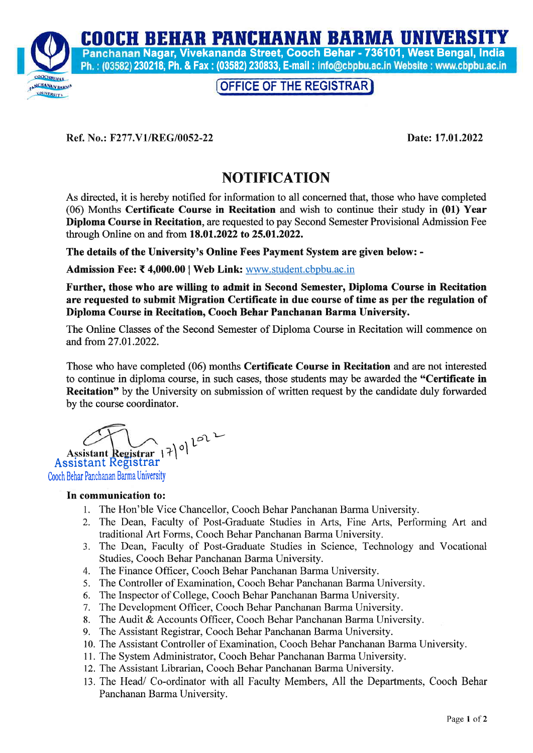**COOCH BEHAR PANCHANAN BARMA UNIVERSITY** 



Panchanan Nagar, Vivekananda Street, Cooch Behar - 736101, West Bengal, India Ph.: (03582) 230218; Ph. & Fax: (03582) 230833; E-mail: info@cbpbu.ac.in Website: www.cbpbu.ac.in

## OFFICE OF THE REGISTRAR

Ref. No.: F277.V1/REG/0052-22 Date: 17.01.2022

## **NOTIFICATION**

As directed, it is hereby notified for information to all concerned that, those who have completed (06) Months Certificate Course in Recitation and wish to continue their study in (01) Year Diploma Course in Recitation, are requested to pay Second Semester Provisional Admission Fee through Online on and from 18.01 .2022 to 25.01.2022.

The details of the University's Online Fees Payment System are given below: -

Admission Fee: ₹4,000.00 | Web Link: www.student.cbpbu.ac.in

Further, those who are willing to admit in Second Semester, Diploma Course in Recitation are requested to submit Migration Certificate in due course of time as per the regulation of Diploma Course in Recitation, Cooch Behar Panchanan Barma University.

The Online Classes of the Second Semester of Diploma Course in Recitation will commence on and from 27.01.2022.

Those who have completed (06) months Certificate Course in Recitation and are not interested to continue in diploma course, in such cases, those students may be awarded the "Certificate in Recitation" by the University on submission of written request by the candidate duly forwarded by the course coordinator.

Assistant Registrar  $|7|^{0}|^{2^{0}}$ Assistant Registrar Cooch Behar Panchanan Barma University

#### In communication to:

- 1. The Hon'ble Vice Chancellor, Cooch Behar Panchanan Barma University.
- 2. The Dean, Faculty of Post-Graduate Studies in Arts, Fine Arts, Performing Art and traditional Art Forms, Cooch Behar Panchanan Barma University.
- 3. The Dean, Faculty of Post-Graduate Studies in Science, Technology and Vocational Studies, Cooch Behar Panchanan Barma University.
- 4. The Finance Officer, Cooch Behar Panchanan Barma University.
- 5. The Controller of Examination, Cooch Behar Panchanan Barma University.
- 6. The Inspector of College, Cooch Behar Panchanan Barma University.
- 7. The Development Officer, Cooch Behar Panchanan Barma University.
- 8. The Audit & Accounts Officer, Cooch Behar Panchanan Barma University.
- 9. The Assistant Registrar, Cooch Behar Panchanan Barma University.
- 10. The Assistant Controller of Examination, Cooch Behar Panchanan Barma University.
- 11. The System Administrator, Cooch Behar Panchanan Barma University.
- 12. The Assistant Librarian, Cooch Behar Panchanan Barma University.
- 13. The Head/ Co-ordinator with all Faculty Members, All the Departments, Cooch Behar Panchanan Barma University.